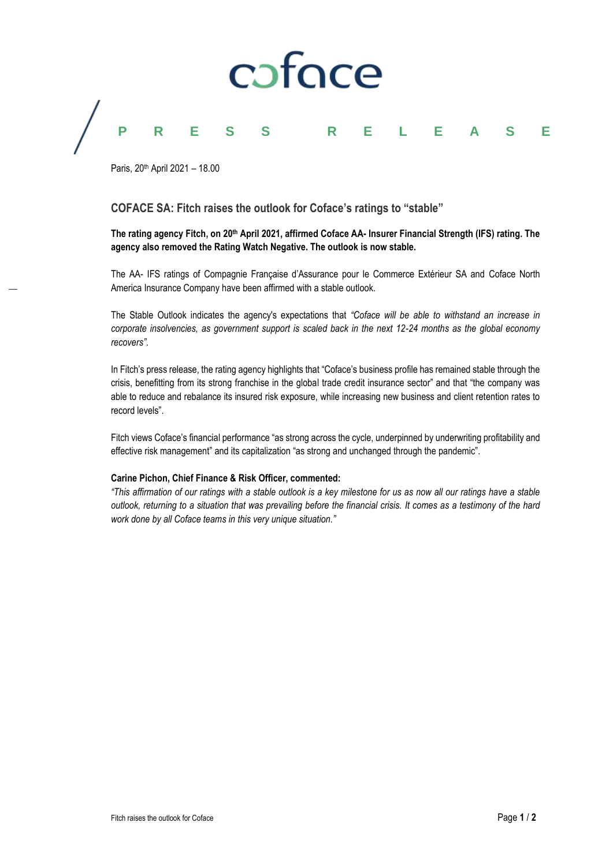# caface **PRESS RELEASE**

Paris, 20th April 2021 – 18.00

### **COFACE SA: Fitch raises the outlook for Coface's ratings to "stable"**

### **The rating agency Fitch, on 20th April 2021, affirmed Coface AA- Insurer Financial Strength (IFS) rating. The agency also removed the Rating Watch Negative. The outlook is now stable.**

The AA- IFS ratings of Compagnie Française d'Assurance pour le Commerce Extérieur SA and Coface North America Insurance Company have been affirmed with a stable outlook.

The Stable Outlook indicates the agency's expectations that *"Coface will be able to withstand an increase in corporate insolvencies, as government support is scaled back in the next 12-24 months as the global economy recovers"*.

In Fitch's press release, the rating agency highlights that "Coface's business profile has remained stable through the crisis, benefitting from its strong franchise in the global trade credit insurance sector" and that "the company was able to reduce and rebalance its insured risk exposure, while increasing new business and client retention rates to record levels".

Fitch views Coface's financial performance "as strong across the cycle, underpinned by underwriting profitability and effective risk management" and its capitalization "as strong and unchanged through the pandemic".

#### **Carine Pichon, Chief Finance & Risk Officer, commented:**

*"This affirmation of our ratings with a stable outlook is a key milestone for us as now all our ratings have a stable outlook, returning to a situation that was prevailing before the financial crisis. It comes as a testimony of the hard work done by all Coface teams in this very unique situation."*